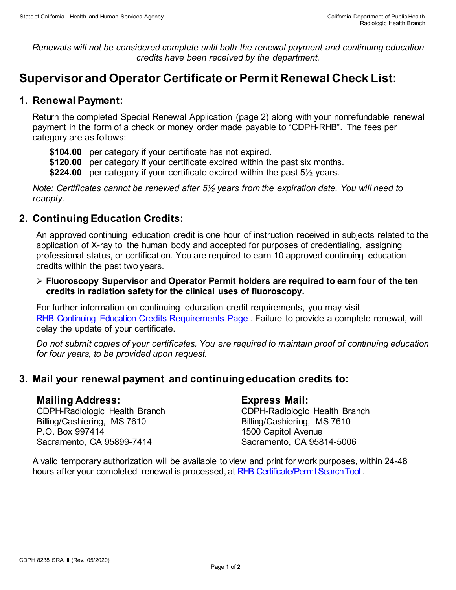*Renewals will not be considered complete until both the renewal payment and continuing education credits have been received by the department.* 

# **Supervisor and Operator Certificate or Permit Renewal Check List:**

## **1. Renewal Payment:**

Return the completed Special Renewal Application (page 2) along with your nonrefundable renewal payment in the form of a check or money order made payable to "CDPH-RHB". The fees per category are as follows:

- **\$104.00** per category if your certificate has not expired.
- **\$120.00** per category if your certificate expired within the past six months.
- **\$224.00** per category if your certificate expired within the past 5½ years.

*Note: Certificates cannot be renewed after 5½ years from the expiration date. You will need to reapply.* 

# **2. Continuing Education Credits:**

An approved continuing education credit is one hour of instruction received in subjects related to the application of X-ray to the human body and accepted for purposes of credentialing, assigning professional status, or certification. You are required to earn 10 approved continuing education credits within the past two years.

 **Fluoroscopy Supervisor and Operator Permit holders are required to earn four of the ten credits in radiation safety for the clinical uses of fluoroscopy.**

For further information on continuing education credit requirements, you may visit [RHB Continuing Education Credits Requirements Page](https://www.cdph.ca.gov/Programs/CEH/DRSEM/CDPH%20Document%20Library/RHB/Certification/RHB-CEC-Renewal.pdf) . Failure to provide a complete renewal, will delay the update of your certificate.

*Do not submit copies of your certificates. You are required to maintain proof of continuing education for four years, to be provided upon request.* 

## **3. Mail your renewal payment and continuing education credits to:**

#### **Mailing Address:**

CDPH-Radiologic Health Branch Billing/Cashiering, MS 7610 P.O. Box 997414 Sacramento, CA 95899-7414

#### **Express Mail:**

CDPH-Radiologic Health Branch Billing/Cashiering, MS 7610 1500 Capitol Avenue Sacramento, CA 95814-5006

A valid temporary authorization will be available to view and print for work purposes, within 24-48 hours after your completed renewal is processed, at RHB Certificate/Permit Search Tool.